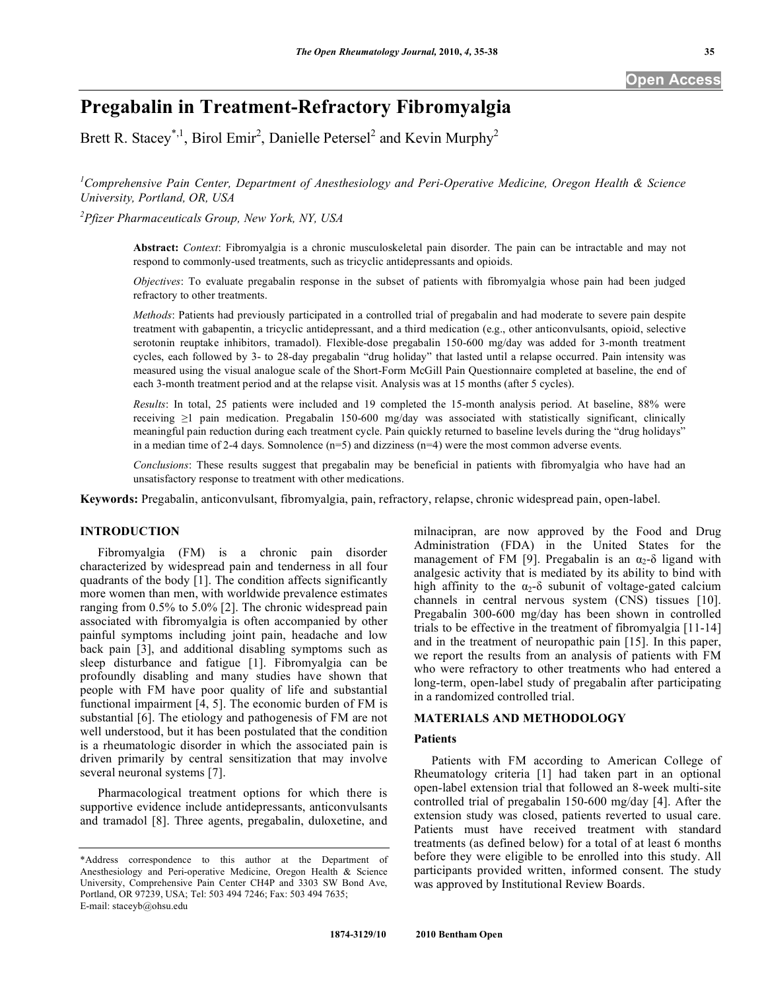# **Pregabalin in Treatment-Refractory Fibromyalgia**

Brett R. Stacey<sup>\*,1</sup>, Birol Emir<sup>2</sup>, Danielle Petersel<sup>2</sup> and Kevin Murphy<sup>2</sup>

*1 Comprehensive Pain Center, Department of Anesthesiology and Peri-Operative Medicine, Oregon Health & Science University, Portland, OR, USA* 

*2 Pfizer Pharmaceuticals Group, New York, NY, USA* 

**Abstract:** *Context*: Fibromyalgia is a chronic musculoskeletal pain disorder. The pain can be intractable and may not respond to commonly-used treatments, such as tricyclic antidepressants and opioids.

*Objectives*: To evaluate pregabalin response in the subset of patients with fibromyalgia whose pain had been judged refractory to other treatments.

*Methods*: Patients had previously participated in a controlled trial of pregabalin and had moderate to severe pain despite treatment with gabapentin, a tricyclic antidepressant, and a third medication (e.g., other anticonvulsants, opioid, selective serotonin reuptake inhibitors, tramadol). Flexible-dose pregabalin 150-600 mg/day was added for 3-month treatment cycles, each followed by 3- to 28-day pregabalin "drug holiday" that lasted until a relapse occurred. Pain intensity was measured using the visual analogue scale of the Short-Form McGill Pain Questionnaire completed at baseline, the end of each 3-month treatment period and at the relapse visit. Analysis was at 15 months (after 5 cycles).

*Results*: In total, 25 patients were included and 19 completed the 15-month analysis period. At baseline, 88% were receiving  $\geq 1$  pain medication. Pregabalin 150-600 mg/day was associated with statistically significant, clinically meaningful pain reduction during each treatment cycle. Pain quickly returned to baseline levels during the "drug holidays" in a median time of 2-4 days. Somnolence  $(n=5)$  and dizziness  $(n=4)$  were the most common adverse events.

*Conclusions*: These results suggest that pregabalin may be beneficial in patients with fibromyalgia who have had an unsatisfactory response to treatment with other medications.

**Keywords:** Pregabalin, anticonvulsant, fibromyalgia, pain, refractory, relapse, chronic widespread pain, open-label.

# **INTRODUCTION**

 Fibromyalgia (FM) is a chronic pain disorder characterized by widespread pain and tenderness in all four quadrants of the body [1]. The condition affects significantly more women than men, with worldwide prevalence estimates ranging from 0.5% to 5.0% [2]. The chronic widespread pain associated with fibromyalgia is often accompanied by other painful symptoms including joint pain, headache and low back pain [3], and additional disabling symptoms such as sleep disturbance and fatigue [1]. Fibromyalgia can be profoundly disabling and many studies have shown that people with FM have poor quality of life and substantial functional impairment [4, 5]. The economic burden of FM is substantial [6]. The etiology and pathogenesis of FM are not well understood, but it has been postulated that the condition is a rheumatologic disorder in which the associated pain is driven primarily by central sensitization that may involve several neuronal systems [7].

 Pharmacological treatment options for which there is supportive evidence include antidepressants, anticonvulsants and tramadol [8]. Three agents, pregabalin, duloxetine, and

milnacipran, are now approved by the Food and Drug Administration (FDA) in the United States for the management of FM [9]. Pregabalin is an  $\alpha_2$ - $\delta$  ligand with analgesic activity that is mediated by its ability to bind with high affinity to the  $\alpha_2$ - $\delta$  subunit of voltage-gated calcium channels in central nervous system (CNS) tissues [10]. Pregabalin 300-600 mg/day has been shown in controlled trials to be effective in the treatment of fibromyalgia [11-14] and in the treatment of neuropathic pain [15]. In this paper, we report the results from an analysis of patients with FM who were refractory to other treatments who had entered a long-term, open-label study of pregabalin after participating in a randomized controlled trial.

## **MATERIALS AND METHODOLOGY**

### **Patients**

 Patients with FM according to American College of Rheumatology criteria [1] had taken part in an optional open-label extension trial that followed an 8-week multi-site controlled trial of pregabalin 150-600 mg/day [4]. After the extension study was closed, patients reverted to usual care. Patients must have received treatment with standard treatments (as defined below) for a total of at least 6 months before they were eligible to be enrolled into this study. All participants provided written, informed consent. The study was approved by Institutional Review Boards.

<sup>\*</sup>Address correspondence to this author at the Department of Anesthesiology and Peri-operative Medicine, Oregon Health & Science University, Comprehensive Pain Center CH4P and 3303 SW Bond Ave, Portland, OR 97239, USA; Tel: 503 494 7246; Fax: 503 494 7635; E-mail: staceyb@ohsu.edu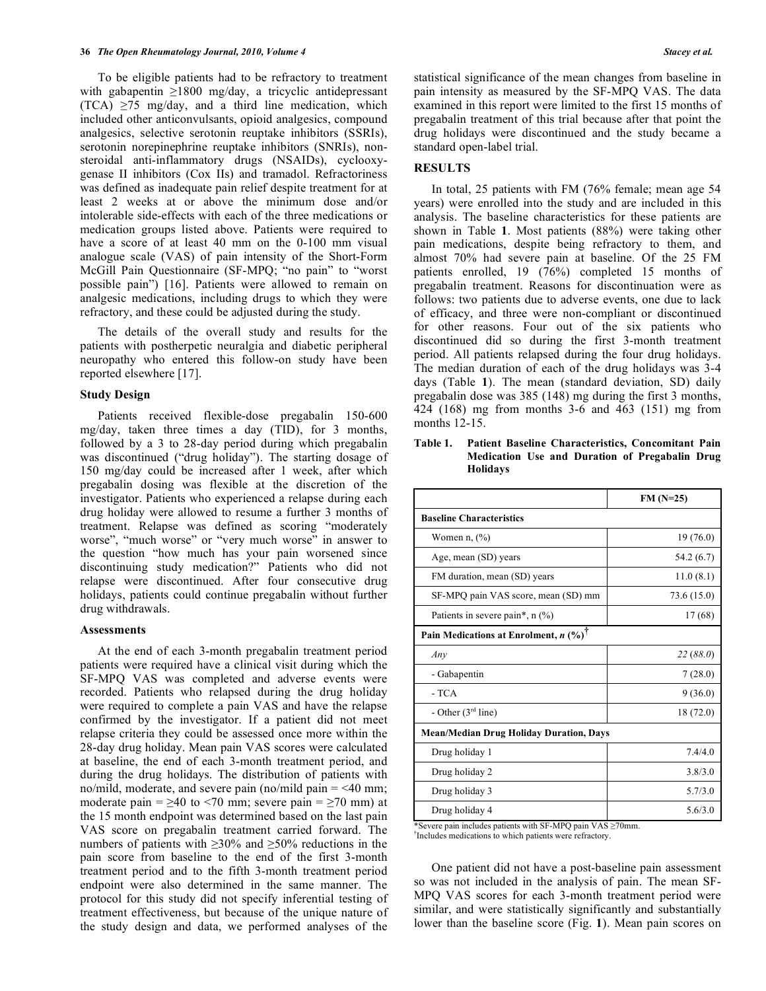To be eligible patients had to be refractory to treatment with gabapentin  $\geq 1800$  mg/day, a tricyclic antidepressant  $(TCA) \ge 75$  mg/day, and a third line medication, which included other anticonvulsants, opioid analgesics, compound analgesics, selective serotonin reuptake inhibitors (SSRIs), serotonin norepinephrine reuptake inhibitors (SNRIs), nonsteroidal anti-inflammatory drugs (NSAIDs), cyclooxygenase II inhibitors (Cox IIs) and tramadol. Refractoriness was defined as inadequate pain relief despite treatment for at least 2 weeks at or above the minimum dose and/or intolerable side-effects with each of the three medications or medication groups listed above. Patients were required to have a score of at least 40 mm on the 0-100 mm visual analogue scale (VAS) of pain intensity of the Short-Form McGill Pain Questionnaire (SF-MPQ; "no pain" to "worst possible pain") [16]. Patients were allowed to remain on analgesic medications, including drugs to which they were refractory, and these could be adjusted during the study.

 The details of the overall study and results for the patients with postherpetic neuralgia and diabetic peripheral neuropathy who entered this follow-on study have been reported elsewhere [17].

#### **Study Design**

 Patients received flexible-dose pregabalin 150-600 mg/day, taken three times a day (TID), for 3 months, followed by a 3 to 28-day period during which pregabalin was discontinued ("drug holiday"). The starting dosage of 150 mg/day could be increased after 1 week, after which pregabalin dosing was flexible at the discretion of the investigator. Patients who experienced a relapse during each drug holiday were allowed to resume a further 3 months of treatment. Relapse was defined as scoring "moderately worse", "much worse" or "very much worse" in answer to the question "how much has your pain worsened since discontinuing study medication?" Patients who did not relapse were discontinued. After four consecutive drug holidays, patients could continue pregabalin without further drug withdrawals.

#### **Assessments**

 At the end of each 3-month pregabalin treatment period patients were required have a clinical visit during which the SF-MPQ VAS was completed and adverse events were recorded. Patients who relapsed during the drug holiday were required to complete a pain VAS and have the relapse confirmed by the investigator. If a patient did not meet relapse criteria they could be assessed once more within the 28-day drug holiday. Mean pain VAS scores were calculated at baseline, the end of each 3-month treatment period, and during the drug holidays. The distribution of patients with no/mild, moderate, and severe pain (no/mild pain  $=$  <40 mm; moderate pain =  $\geq$ 40 to <70 mm; severe pain =  $\geq$ 70 mm) at the 15 month endpoint was determined based on the last pain VAS score on pregabalin treatment carried forward. The numbers of patients with  $\geq 30\%$  and  $\geq 50\%$  reductions in the pain score from baseline to the end of the first 3-month treatment period and to the fifth 3-month treatment period endpoint were also determined in the same manner. The protocol for this study did not specify inferential testing of treatment effectiveness, but because of the unique nature of the study design and data, we performed analyses of the

statistical significance of the mean changes from baseline in pain intensity as measured by the SF-MPQ VAS. The data examined in this report were limited to the first 15 months of pregabalin treatment of this trial because after that point the drug holidays were discontinued and the study became a standard open-label trial.

## **RESULTS**

 In total, 25 patients with FM (76% female; mean age 54 years) were enrolled into the study and are included in this analysis. The baseline characteristics for these patients are shown in Table **1**. Most patients (88%) were taking other pain medications, despite being refractory to them, and almost 70% had severe pain at baseline. Of the 25 FM patients enrolled, 19  $(76%)$  completed 15 months of pregabalin treatment. Reasons for discontinuation were as follows: two patients due to adverse events, one due to lack of efficacy, and three were non-compliant or discontinued for other reasons. Four out of the six patients who discontinued did so during the first 3-month treatment period. All patients relapsed during the four drug holidays. The median duration of each of the drug holidays was 3-4 days (Table **1**). The mean (standard deviation, SD) daily pregabalin dose was 385 (148) mg during the first 3 months, 424 (168) mg from months 3-6 and 463 (151) mg from months 12-15.

**Table 1. Patient Baseline Characteristics, Concomitant Pain Medication Use and Duration of Pregabalin Drug Holidays** 

|                                                            | $FM(N=25)$  |
|------------------------------------------------------------|-------------|
| <b>Baseline Characteristics</b>                            |             |
| Women $n, (\% )$                                           | 19(76.0)    |
| Age, mean (SD) years                                       | 54.2 (6.7)  |
| FM duration, mean (SD) years                               | 11.0(8.1)   |
| SF-MPQ pain VAS score, mean (SD) mm                        | 73.6 (15.0) |
| Patients in severe pain*, $n$ (%)                          | 17 (68)     |
| Pain Medications at Enrolment, $n$ (%) <sup>†</sup>        |             |
| Any                                                        | 22(88.0)    |
| - Gabapentin                                               | 7(28.0)     |
| - TCA                                                      | 9(36.0)     |
| - Other $(3rd$ line)                                       | 18 (72.0)   |
| <b>Mean/Median Drug Holiday Duration, Days</b>             |             |
| Drug holiday 1                                             | 7.4/4.0     |
| Drug holiday 2                                             | 3.8/3.0     |
| Drug holiday 3                                             | 5.7/3.0     |
| Drug holiday 4                                             | 5.6/3.0     |
| *Severe pain includes patients with SF-MPO pain VAS >70mm. |             |

<sup>†</sup>Includes medications to which patients were refractory.

 One patient did not have a post-baseline pain assessment so was not included in the analysis of pain. The mean SF-MPQ VAS scores for each 3-month treatment period were similar, and were statistically significantly and substantially lower than the baseline score (Fig. **1**). Mean pain scores on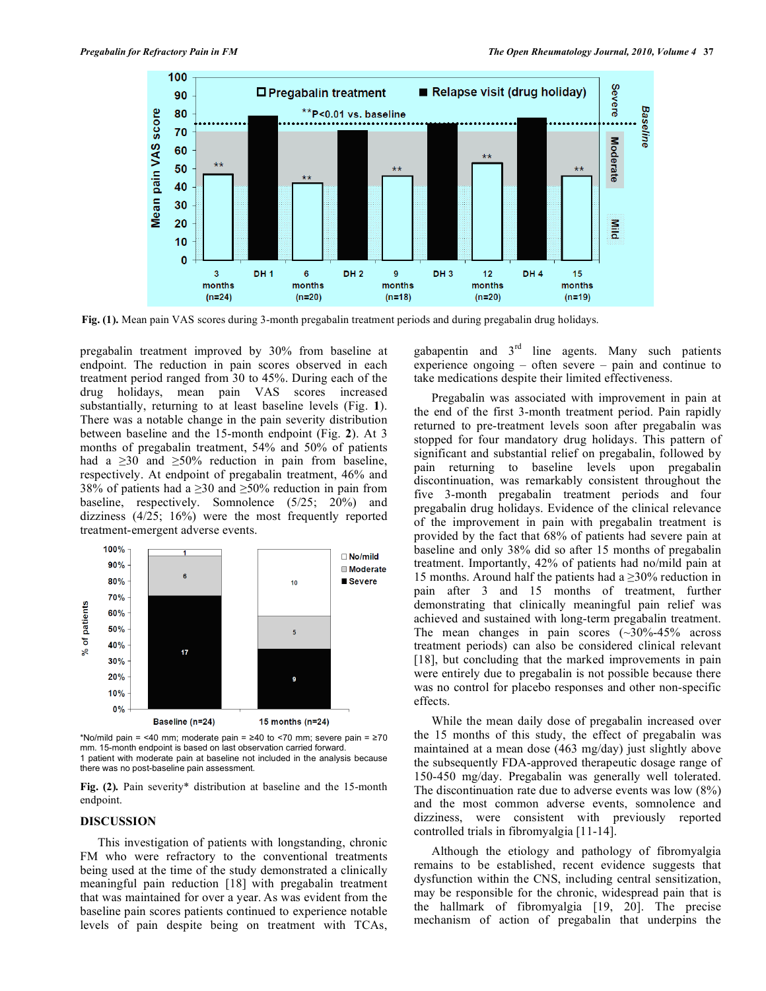

**Fig. (1).** Mean pain VAS scores during 3-month pregabalin treatment periods and during pregabalin drug holidays.

pregabalin treatment improved by 30% from baseline at endpoint. The reduction in pain scores observed in each treatment period ranged from 30 to 45%. During each of the drug holidays, mean pain VAS scores increased substantially, returning to at least baseline levels (Fig. **1**). There was a notable change in the pain severity distribution between baseline and the 15-month endpoint (Fig. **2**). At 3 months of pregabalin treatment, 54% and 50% of patients had a  $\geq 30$  and  $\geq 50\%$  reduction in pain from baseline, respectively. At endpoint of pregabalin treatment, 46% and 38% of patients had a  $\geq$ 30 and  $\geq$ 50% reduction in pain from baseline, respectively. Somnolence (5/25; 20%) and dizziness (4/25; 16%) were the most frequently reported treatment-emergent adverse events.



\*No/mild pain = <40 mm; moderate pain =  $\geq$ 40 to <70 mm; severe pain =  $\geq$ 70 mm. 15-month endpoint is based on last observation carried forward. 1 patient with moderate pain at baseline not included in the analysis because there was no post-baseline pain assessment.

**Fig. (2)***.* Pain severity\* distribution at baseline and the 15-month endpoint.

#### **DISCUSSION**

 This investigation of patients with longstanding, chronic FM who were refractory to the conventional treatments being used at the time of the study demonstrated a clinically meaningful pain reduction [18] with pregabalin treatment that was maintained for over a year. As was evident from the baseline pain scores patients continued to experience notable levels of pain despite being on treatment with TCAs,

gabapentin and  $3<sup>rd</sup>$  line agents. Many such patients experience ongoing – often severe – pain and continue to take medications despite their limited effectiveness.

 Pregabalin was associated with improvement in pain at the end of the first 3-month treatment period. Pain rapidly returned to pre-treatment levels soon after pregabalin was stopped for four mandatory drug holidays. This pattern of significant and substantial relief on pregabalin, followed by pain returning to baseline levels upon pregabalin discontinuation, was remarkably consistent throughout the five 3-month pregabalin treatment periods and four pregabalin drug holidays. Evidence of the clinical relevance of the improvement in pain with pregabalin treatment is provided by the fact that 68% of patients had severe pain at baseline and only 38% did so after 15 months of pregabalin treatment. Importantly, 42% of patients had no/mild pain at 15 months. Around half the patients had a  $\geq$ 30% reduction in pain after 3 and 15 months of treatment, further demonstrating that clinically meaningful pain relief was achieved and sustained with long-term pregabalin treatment. The mean changes in pain scores  $(\sim 30\% - 45\%$  across treatment periods) can also be considered clinical relevant [18], but concluding that the marked improvements in pain were entirely due to pregabalin is not possible because there was no control for placebo responses and other non-specific effects.

 While the mean daily dose of pregabalin increased over the 15 months of this study, the effect of pregabalin was maintained at a mean dose (463 mg/day) just slightly above the subsequently FDA-approved therapeutic dosage range of 150-450 mg/day. Pregabalin was generally well tolerated. The discontinuation rate due to adverse events was low (8%) and the most common adverse events, somnolence and dizziness, were consistent with previously reported controlled trials in fibromyalgia [11-14].

 Although the etiology and pathology of fibromyalgia remains to be established, recent evidence suggests that dysfunction within the CNS, including central sensitization, may be responsible for the chronic, widespread pain that is the hallmark of fibromyalgia [19, 20]. The precise mechanism of action of pregabalin that underpins the